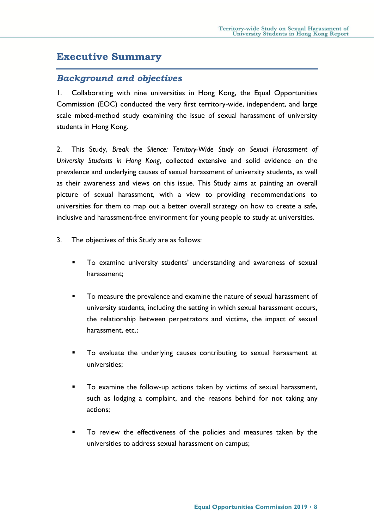# **Executive Summary**

## *Background and objectives*

1. Collaborating with nine universities in Hong Kong, the Equal Opportunities Commission (EOC) conducted the very first territory-wide, independent, and large scale mixed-method study examining the issue of sexual harassment of university students in Hong Kong.

2. This Study, *Break the Silence: Territory-Wide Study on Sexual Harassment of University Students in Hong Kong*, collected extensive and solid evidence on the prevalence and underlying causes of sexual harassment of university students, as well as their awareness and views on this issue. This Study aims at painting an overall picture of sexual harassment, with a view to providing recommendations to universities for them to map out a better overall strategy on how to create a safe, inclusive and harassment-free environment for young people to study at universities.

- 3. The objectives of this Study are as follows:
	- To examine university students' understanding and awareness of sexual harassment;
	- To measure the prevalence and examine the nature of sexual harassment of university students, including the setting in which sexual harassment occurs, the relationship between perpetrators and victims, the impact of sexual harassment, etc.;
	- To evaluate the underlying causes contributing to sexual harassment at universities;
	- To examine the follow-up actions taken by victims of sexual harassment, such as lodging a complaint, and the reasons behind for not taking any actions;
	- To review the effectiveness of the policies and measures taken by the universities to address sexual harassment on campus;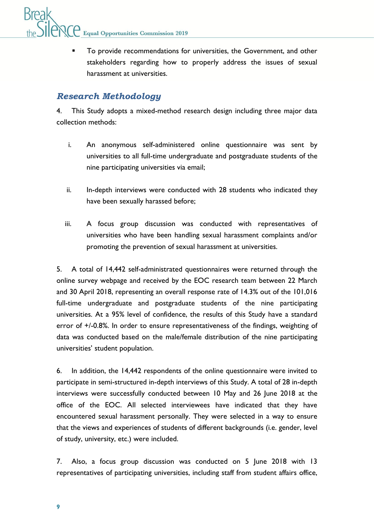**Equal Opportunities Commission 2019** 

 To provide recommendations for universities, the Government, and other stakeholders regarding how to properly address the issues of sexual harassment at universities.

## *Research Methodology*

4. This Study adopts a mixed-method research design including three major data collection methods:

- i. An anonymous self-administered online questionnaire was sent by universities to all full-time undergraduate and postgraduate students of the nine participating universities via email;
- ii. In-depth interviews were conducted with 28 students who indicated they have been sexually harassed before;
- iii. A focus group discussion was conducted with representatives of universities who have been handling sexual harassment complaints and/or promoting the prevention of sexual harassment at universities.

5. A total of 14,442 self-administrated questionnaires were returned through the online survey webpage and received by the EOC research team between 22 March and 30 April 2018, representing an overall response rate of 14.3% out of the 101,016 full-time undergraduate and postgraduate students of the nine participating universities. At a 95% level of confidence, the results of this Study have a standard error of +/-0.8%. In order to ensure representativeness of the findings, weighting of data was conducted based on the male/female distribution of the nine participating universities' student population.

6. In addition, the 14,442 respondents of the online questionnaire were invited to participate in semi-structured in-depth interviews of this Study. A total of 28 in-depth interviews were successfully conducted between 10 May and 26 June 2018 at the office of the EOC. All selected interviewees have indicated that they have encountered sexual harassment personally. They were selected in a way to ensure that the views and experiences of students of different backgrounds (i.e. gender, level of study, university, etc.) were included.

7. Also, a focus group discussion was conducted on 5 June 2018 with 13 representatives of participating universities, including staff from student affairs office,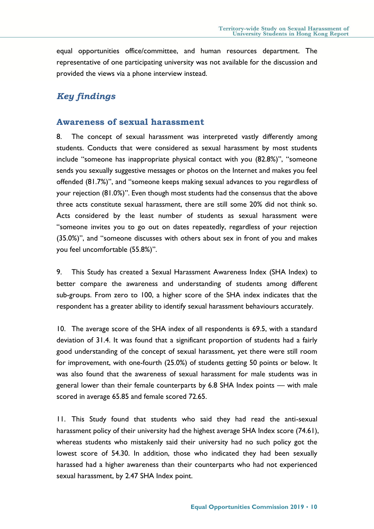equal opportunities office/committee, and human resources department. The representative of one participating university was not available for the discussion and provided the views via a phone interview instead.

# *Key findings*

#### **Awareness of sexual harassment**

8. The concept of sexual harassment was interpreted vastly differently among students. Conducts that were considered as sexual harassment by most students include "someone has inappropriate physical contact with you (82.8%)", "someone sends you sexually suggestive messages or photos on the Internet and makes you feel offended (81.7%)", and "someone keeps making sexual advances to you regardless of your rejection (81.0%)". Even though most students had the consensus that the above three acts constitute sexual harassment, there are still some 20% did not think so. Acts considered by the least number of students as sexual harassment were "someone invites you to go out on dates repeatedly, regardless of your rejection (35.0%)", and "someone discusses with others about sex in front of you and makes you feel uncomfortable (55.8%)".

9. This Study has created a Sexual Harassment Awareness Index (SHA Index) to better compare the awareness and understanding of students among different sub-groups. From zero to 100, a higher score of the SHA index indicates that the respondent has a greater ability to identify sexual harassment behaviours accurately.

10. The average score of the SHA index of all respondents is 69.5, with a standard deviation of 31.4. It was found that a significant proportion of students had a fairly good understanding of the concept of sexual harassment, yet there were still room for improvement, with one-fourth (25.0%) of students getting 50 points or below. It was also found that the awareness of sexual harassment for male students was in general lower than their female counterparts by 6.8 SHA Index points — with male scored in average 65.85 and female scored 72.65.

11. This Study found that students who said they had read the anti-sexual harassment policy of their university had the highest average SHA Index score (74.61), whereas students who mistakenly said their university had no such policy got the lowest score of 54.30. In addition, those who indicated they had been sexually harassed had a higher awareness than their counterparts who had not experienced sexual harassment, by 2.47 SHA Index point.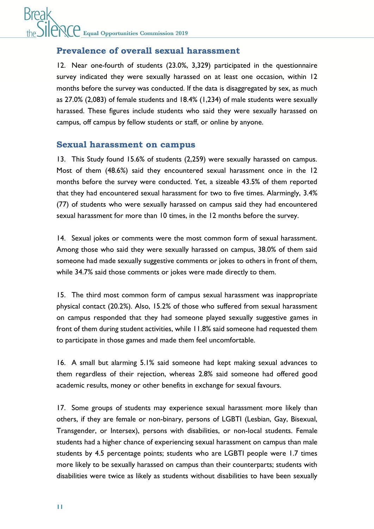# **Break Equal Opportunities Commission 2019**

# **Prevalence of overall sexual harassment**

12. Near one-fourth of students (23.0%, 3,329) participated in the questionnaire survey indicated they were sexually harassed on at least one occasion, within 12 months before the survey was conducted. If the data is disaggregated by sex, as much as 27.0% (2,083) of female students and 18.4% (1,234) of male students were sexually harassed. These figures include students who said they were sexually harassed on campus, off campus by fellow students or staff, or online by anyone.

#### **Sexual harassment on campus**

13. This Study found 15.6% of students (2,259) were sexually harassed on campus. Most of them (48.6%) said they encountered sexual harassment once in the 12 months before the survey were conducted. Yet, a sizeable 43.5% of them reported that they had encountered sexual harassment for two to five times. Alarmingly, 3.4% (77) of students who were sexually harassed on campus said they had encountered sexual harassment for more than 10 times, in the 12 months before the survey.

14. Sexual jokes or comments were the most common form of sexual harassment. Among those who said they were sexually harassed on campus, 38.0% of them said someone had made sexually suggestive comments or jokes to others in front of them, while 34.7% said those comments or jokes were made directly to them.

15. The third most common form of campus sexual harassment was inappropriate physical contact (20.2%). Also, 15.2% of those who suffered from sexual harassment on campus responded that they had someone played sexually suggestive games in front of them during student activities, while 11.8% said someone had requested them to participate in those games and made them feel uncomfortable.

16. A small but alarming 5.1% said someone had kept making sexual advances to them regardless of their rejection, whereas 2.8% said someone had offered good academic results, money or other benefits in exchange for sexual favours.

17. Some groups of students may experience sexual harassment more likely than others, if they are female or non-binary, persons of LGBTI (Lesbian, Gay, Bisexual, Transgender, or Intersex), persons with disabilities, or non-local students. Female students had a higher chance of experiencing sexual harassment on campus than male students by 4.5 percentage points; students who are LGBTI people were 1.7 times more likely to be sexually harassed on campus than their counterparts; students with disabilities were twice as likely as students without disabilities to have been sexually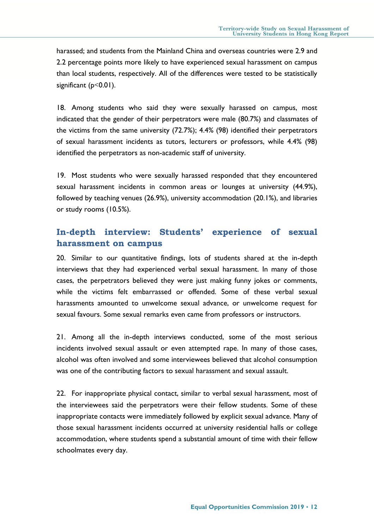harassed; and students from the Mainland China and overseas countries were 2.9 and 2.2 percentage points more likely to have experienced sexual harassment on campus than local students, respectively. All of the differences were tested to be statistically significant (p<0.01).

18. Among students who said they were sexually harassed on campus, most indicated that the gender of their perpetrators were male (80.7%) and classmates of the victims from the same university (72.7%); 4.4% (98) identified their perpetrators of sexual harassment incidents as tutors, lecturers or professors, while 4.4% (98) identified the perpetrators as non-academic staff of university.

19. Most students who were sexually harassed responded that they encountered sexual harassment incidents in common areas or lounges at university (44.9%), followed by teaching venues (26.9%), university accommodation (20.1%), and libraries or study rooms (10.5%).

# **In-depth interview: Students' experience of sexual harassment on campus**

20. Similar to our quantitative findings, lots of students shared at the in-depth interviews that they had experienced verbal sexual harassment. In many of those cases, the perpetrators believed they were just making funny jokes or comments, while the victims felt embarrassed or offended. Some of these verbal sexual harassments amounted to unwelcome sexual advance, or unwelcome request for sexual favours. Some sexual remarks even came from professors or instructors.

21. Among all the in-depth interviews conducted, some of the most serious incidents involved sexual assault or even attempted rape. In many of those cases, alcohol was often involved and some interviewees believed that alcohol consumption was one of the contributing factors to sexual harassment and sexual assault.

22. For inappropriate physical contact, similar to verbal sexual harassment, most of the interviewees said the perpetrators were their fellow students. Some of these inappropriate contacts were immediately followed by explicit sexual advance. Many of those sexual harassment incidents occurred at university residential halls or college accommodation, where students spend a substantial amount of time with their fellow schoolmates every day.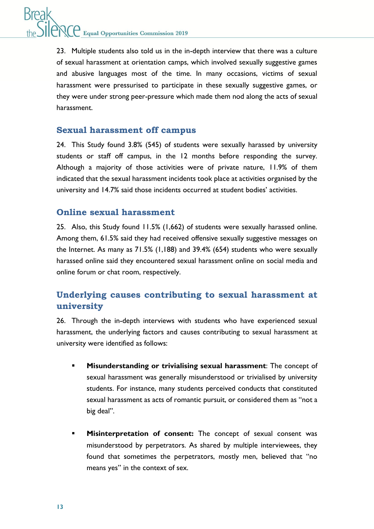23. Multiple students also told us in the in-depth interview that there was a culture of sexual harassment at orientation camps, which involved sexually suggestive games and abusive languages most of the time. In many occasions, victims of sexual harassment were pressurised to participate in these sexually suggestive games, or they were under strong peer-pressure which made them nod along the acts of sexual harassment.

## **Sexual harassment off campus**

24. This Study found 3.8% (545) of students were sexually harassed by university students or staff off campus, in the 12 months before responding the survey. Although a majority of those activities were of private nature, 11.9% of them indicated that the sexual harassment incidents took place at activities organised by the university and 14.7% said those incidents occurred at student bodies' activities.

# **Online sexual harassment**

25. Also, this Study found 11.5% (1,662) of students were sexually harassed online. Among them, 61.5% said they had received offensive sexually suggestive messages on the Internet. As many as 71.5% (1,188) and 39.4% (654) students who were sexually harassed online said they encountered sexual harassment online on social media and online forum or chat room, respectively.

# **Underlying causes contributing to sexual harassment at university**

26. Through the in-depth interviews with students who have experienced sexual harassment, the underlying factors and causes contributing to sexual harassment at university were identified as follows:

- **Misunderstanding or trivialising sexual harassment**: The concept of sexual harassment was generally misunderstood or trivialised by university students. For instance, many students perceived conducts that constituted sexual harassment as acts of romantic pursuit, or considered them as "not a big deal".
- **Misinterpretation of consent:** The concept of sexual consent was misunderstood by perpetrators. As shared by multiple interviewees, they found that sometimes the perpetrators, mostly men, believed that "no means yes" in the context of sex.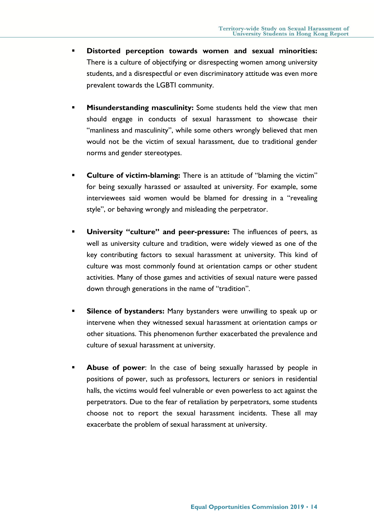- **Distorted perception towards women and sexual minorities:** There is a culture of objectifying or disrespecting women among university students, and a disrespectful or even discriminatory attitude was even more prevalent towards the LGBTI community.
- **Misunderstanding masculinity:** Some students held the view that men should engage in conducts of sexual harassment to showcase their "manliness and masculinity", while some others wrongly believed that men would not be the victim of sexual harassment, due to traditional gender norms and gender stereotypes.
- **Culture of victim-blaming:** There is an attitude of "blaming the victim" for being sexually harassed or assaulted at university. For example, some interviewees said women would be blamed for dressing in a "revealing style", or behaving wrongly and misleading the perpetrator.
- **University "culture" and peer-pressure:** The influences of peers, as well as university culture and tradition, were widely viewed as one of the key contributing factors to sexual harassment at university. This kind of culture was most commonly found at orientation camps or other student activities. Many of those games and activities of sexual nature were passed down through generations in the name of "tradition".
- **Silence of bystanders:** Many bystanders were unwilling to speak up or intervene when they witnessed sexual harassment at orientation camps or other situations. This phenomenon further exacerbated the prevalence and culture of sexual harassment at university.
- **Abuse of power**: In the case of being sexually harassed by people in positions of power, such as professors, lecturers or seniors in residential halls, the victims would feel vulnerable or even powerless to act against the perpetrators. Due to the fear of retaliation by perpetrators, some students choose not to report the sexual harassment incidents. These all may exacerbate the problem of sexual harassment at university.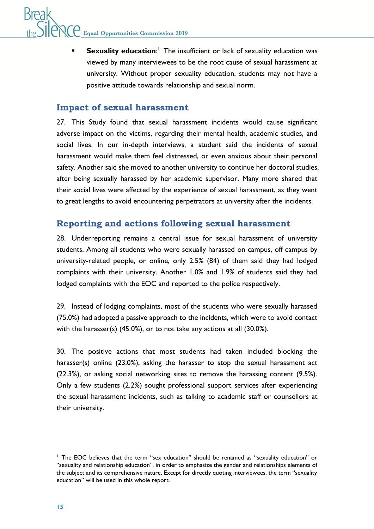**Sexuality education:** The insufficient or lack of sexuality education was viewed by many interviewees to be the root cause of sexual harassment at university. Without proper sexuality education, students may not have a positive attitude towards relationship and sexual norm.

## **Impact of sexual harassment**

27. This Study found that sexual harassment incidents would cause significant adverse impact on the victims, regarding their mental health, academic studies, and social lives. In our in-depth interviews, a student said the incidents of sexual harassment would make them feel distressed, or even anxious about their personal safety. Another said she moved to another university to continue her doctoral studies, after being sexually harassed by her academic supervisor. Many more shared that their social lives were affected by the experience of sexual harassment, as they went to great lengths to avoid encountering perpetrators at university after the incidents.

# **Reporting and actions following sexual harassment**

28. Underreporting remains a central issue for sexual harassment of university students. Among all students who were sexually harassed on campus, off campus by university-related people, or online, only 2.5% (84) of them said they had lodged complaints with their university. Another 1.0% and 1.9% of students said they had lodged complaints with the EOC and reported to the police respectively.

29. Instead of lodging complaints, most of the students who were sexually harassed (75.0%) had adopted a passive approach to the incidents, which were to avoid contact with the harasser(s) (45.0%), or to not take any actions at all (30.0%).

30. The positive actions that most students had taken included blocking the harasser(s) online (23.0%), asking the harasser to stop the sexual harassment act (22.3%), or asking social networking sites to remove the harassing content (9.5%). Only a few students (2.2%) sought professional support services after experiencing the sexual harassment incidents, such as talking to academic staff or counsellors at their university.

<sup>&</sup>lt;sup>1</sup> The EOC believes that the term "sex education" should be renamed as "sexuality education" or "sexuality and relationship education", in order to emphasize the gender and relationships elements of the subject and its comprehensive nature. Except for directly quoting interviewees, the term "sexuality education" will be used in this whole report.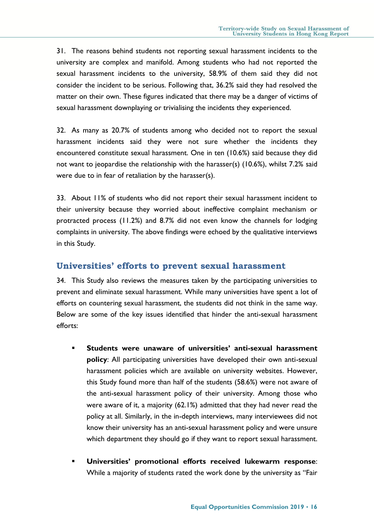31. The reasons behind students not reporting sexual harassment incidents to the university are complex and manifold. Among students who had not reported the sexual harassment incidents to the university, 58.9% of them said they did not consider the incident to be serious. Following that, 36.2% said they had resolved the matter on their own. These figures indicated that there may be a danger of victims of sexual harassment downplaying or trivialising the incidents they experienced.

32. As many as 20.7% of students among who decided not to report the sexual harassment incidents said they were not sure whether the incidents they encountered constitute sexual harassment. One in ten (10.6%) said because they did not want to jeopardise the relationship with the harasser(s) (10.6%), whilst 7.2% said were due to in fear of retaliation by the harasser(s).

33. About 11% of students who did not report their sexual harassment incident to their university because they worried about ineffective complaint mechanism or protracted process (11.2%) and 8.7% did not even know the channels for lodging complaints in university. The above findings were echoed by the qualitative interviews in this Study.

#### **Universities' efforts to prevent sexual harassment**

34. This Study also reviews the measures taken by the participating universities to prevent and eliminate sexual harassment. While many universities have spent a lot of efforts on countering sexual harassment, the students did not think in the same way. Below are some of the key issues identified that hinder the anti-sexual harassment efforts:

- **Students were unaware of universities' anti-sexual harassment policy**: All participating universities have developed their own anti-sexual harassment policies which are available on university websites. However, this Study found more than half of the students (58.6%) were not aware of the anti-sexual harassment policy of their university. Among those who were aware of it, a majority (62.1%) admitted that they had never read the policy at all. Similarly, in the in-depth interviews, many interviewees did not know their university has an anti-sexual harassment policy and were unsure which department they should go if they want to report sexual harassment.
- **Universities' promotional efforts received lukewarm response**: While a majority of students rated the work done by the university as "Fair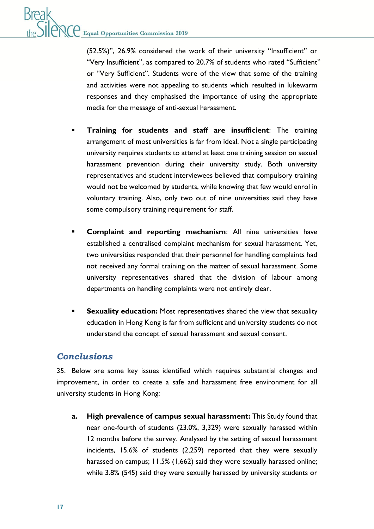(52.5%)", 26.9% considered the work of their university "Insufficient" or "Very Insufficient", as compared to 20.7% of students who rated "Sufficient" or "Very Sufficient". Students were of the view that some of the training and activities were not appealing to students which resulted in lukewarm responses and they emphasised the importance of using the appropriate media for the message of anti-sexual harassment.

- **Training for students and staff are insufficient**: The training arrangement of most universities is far from ideal. Not a single participating university requires students to attend at least one training session on sexual harassment prevention during their university study. Both university representatives and student interviewees believed that compulsory training would not be welcomed by students, while knowing that few would enrol in voluntary training. Also, only two out of nine universities said they have some compulsory training requirement for staff.
- **Complaint and reporting mechanism**: All nine universities have established a centralised complaint mechanism for sexual harassment. Yet, two universities responded that their personnel for handling complaints had not received any formal training on the matter of sexual harassment. Some university representatives shared that the division of labour among departments on handling complaints were not entirely clear.
- **Sexuality education:** Most representatives shared the view that sexuality education in Hong Kong is far from sufficient and university students do not understand the concept of sexual harassment and sexual consent.

## *Conclusions*

35. Below are some key issues identified which requires substantial changes and improvement, in order to create a safe and harassment free environment for all university students in Hong Kong:

**a. High prevalence of campus sexual harassment:** This Study found that near one-fourth of students (23.0%, 3,329) were sexually harassed within 12 months before the survey. Analysed by the setting of sexual harassment incidents, 15.6% of students (2,259) reported that they were sexually harassed on campus; 11.5% (1,662) said they were sexually harassed online; while 3.8% (545) said they were sexually harassed by university students or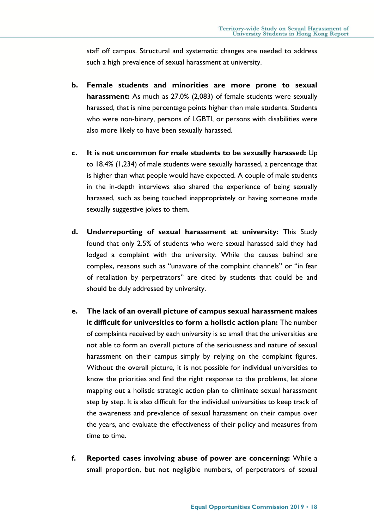staff off campus. Structural and systematic changes are needed to address such a high prevalence of sexual harassment at university.

- **b. Female students and minorities are more prone to sexual harassment:** As much as 27.0% (2,083) of female students were sexually harassed, that is nine percentage points higher than male students. Students who were non-binary, persons of LGBTI, or persons with disabilities were also more likely to have been sexually harassed.
- **c. It is not uncommon for male students to be sexually harassed:** Up to 18.4% (1,234) of male students were sexually harassed, a percentage that is higher than what people would have expected. A couple of male students in the in-depth interviews also shared the experience of being sexually harassed, such as being touched inappropriately or having someone made sexually suggestive jokes to them.
- **d. Underreporting of sexual harassment at university:** This Study found that only 2.5% of students who were sexual harassed said they had lodged a complaint with the university. While the causes behind are complex, reasons such as "unaware of the complaint channels" or "in fear of retaliation by perpetrators" are cited by students that could be and should be duly addressed by university.
- **e. The lack of an overall picture of campus sexual harassment makes it difficult for universities to form a holistic action plan:** The number of complaints received by each university is so small that the universities are not able to form an overall picture of the seriousness and nature of sexual harassment on their campus simply by relying on the complaint figures. Without the overall picture, it is not possible for individual universities to know the priorities and find the right response to the problems, let alone mapping out a holistic strategic action plan to eliminate sexual harassment step by step. It is also difficult for the individual universities to keep track of the awareness and prevalence of sexual harassment on their campus over the years, and evaluate the effectiveness of their policy and measures from time to time.
- **f. Reported cases involving abuse of power are concerning:** While a small proportion, but not negligible numbers, of perpetrators of sexual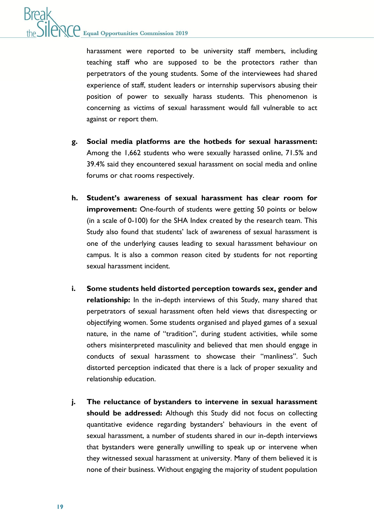harassment were reported to be university staff members, including teaching staff who are supposed to be the protectors rather than perpetrators of the young students. Some of the interviewees had shared experience of staff, student leaders or internship supervisors abusing their position of power to sexually harass students. This phenomenon is concerning as victims of sexual harassment would fall vulnerable to act against or report them.

- **g. Social media platforms are the hotbeds for sexual harassment:**  Among the 1,662 students who were sexually harassed online, 71.5% and 39.4% said they encountered sexual harassment on social media and online forums or chat rooms respectively.
- **h. Student's awareness of sexual harassment has clear room for improvement:** One-fourth of students were getting 50 points or below (in a scale of 0-100) for the SHA Index created by the research team. This Study also found that students' lack of awareness of sexual harassment is one of the underlying causes leading to sexual harassment behaviour on campus. It is also a common reason cited by students for not reporting sexual harassment incident.
- **i. Some students held distorted perception towards sex, gender and relationship:** In the in-depth interviews of this Study, many shared that perpetrators of sexual harassment often held views that disrespecting or objectifying women. Some students organised and played games of a sexual nature, in the name of "tradition", during student activities, while some others misinterpreted masculinity and believed that men should engage in conducts of sexual harassment to showcase their "manliness". Such distorted perception indicated that there is a lack of proper sexuality and relationship education.
- **j. The reluctance of bystanders to intervene in sexual harassment should be addressed:** Although this Study did not focus on collecting quantitative evidence regarding bystanders' behaviours in the event of sexual harassment, a number of students shared in our in-depth interviews that bystanders were generally unwilling to speak up or intervene when they witnessed sexual harassment at university. Many of them believed it is none of their business. Without engaging the majority of student population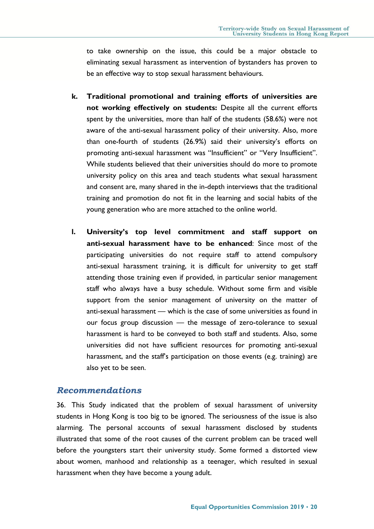to take ownership on the issue, this could be a major obstacle to eliminating sexual harassment as intervention of bystanders has proven to be an effective way to stop sexual harassment behaviours.

- **k. Traditional promotional and training efforts of universities are not working effectively on students:** Despite all the current efforts spent by the universities, more than half of the students (58.6%) were not aware of the anti-sexual harassment policy of their university. Also, more than one-fourth of students (26.9%) said their university's efforts on promoting anti-sexual harassment was "Insufficient" or "Very Insufficient". While students believed that their universities should do more to promote university policy on this area and teach students what sexual harassment and consent are, many shared in the in-depth interviews that the traditional training and promotion do not fit in the learning and social habits of the young generation who are more attached to the online world.
- **l. University's top level commitment and staff support on anti-sexual harassment have to be enhanced**: Since most of the participating universities do not require staff to attend compulsory anti-sexual harassment training, it is difficult for university to get staff attending those training even if provided, in particular senior management staff who always have a busy schedule. Without some firm and visible support from the senior management of university on the matter of anti-sexual harassment — which is the case of some universities as found in our focus group discussion — the message of zero-tolerance to sexual harassment is hard to be conveyed to both staff and students. Also, some universities did not have sufficient resources for promoting anti-sexual harassment, and the staff's participation on those events (e.g. training) are also yet to be seen.

#### *Recommendations*

36. This Study indicated that the problem of sexual harassment of university students in Hong Kong is too big to be ignored. The seriousness of the issue is also alarming. The personal accounts of sexual harassment disclosed by students illustrated that some of the root causes of the current problem can be traced well before the youngsters start their university study. Some formed a distorted view about women, manhood and relationship as a teenager, which resulted in sexual harassment when they have become a young adult.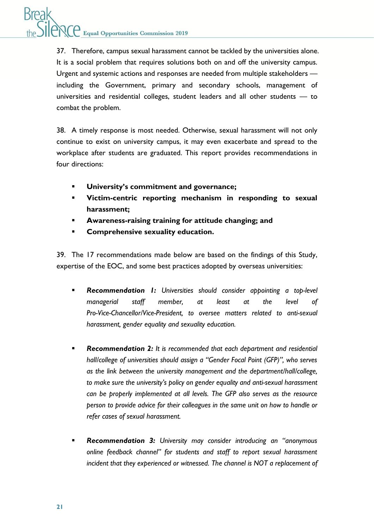37. Therefore, campus sexual harassment cannot be tackled by the universities alone. It is a social problem that requires solutions both on and off the university campus. Urgent and systemic actions and responses are needed from multiple stakeholders including the Government, primary and secondary schools, management of universities and residential colleges, student leaders and all other students — to combat the problem.

38. A timely response is most needed. Otherwise, sexual harassment will not only continue to exist on university campus, it may even exacerbate and spread to the workplace after students are graduated. This report provides recommendations in four directions:

- **University's commitment and governance;**
- **Victim-centric reporting mechanism in responding to sexual harassment;**
- **Awareness-raising training for attitude changing; and**
- **Comprehensive sexuality education.**

39. The 17 recommendations made below are based on the findings of this Study, expertise of the EOC, and some best practices adopted by overseas universities:

- *Recommendation 1: Universities should consider appointing a top-level managerial staff member, at least at the level of Pro-Vice-Chancellor/Vice-President, to oversee matters related to anti-sexual harassment, gender equality and sexuality education.*
- *Recommendation 2: It is recommended that each department and residential hall/college of universities should assign a "Gender Focal Point (GFP)", who serves as the link between the university management and the department/hall/college, to make sure the university's policy on gender equality and anti-sexual harassment can be properly implemented at all levels. The GFP also serves as the resource person to provide advice for their colleagues in the same unit on how to handle or refer cases of sexual harassment.*
- *Recommendation 3: University may consider introducing an "anonymous online feedback channel" for students and staff to report sexual harassment incident that they experienced or witnessed. The channel is NOT a replacement of*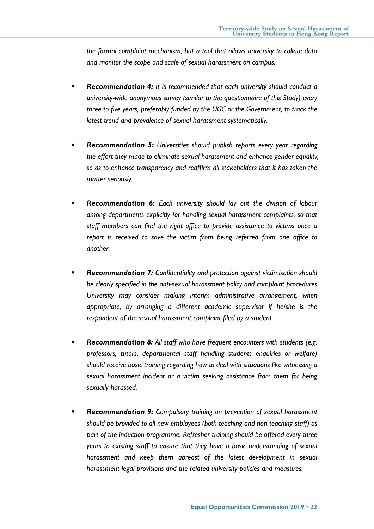*the formal complaint mechanism, but a tool that allows university to collate data and monitor the scope and scale of sexual harassment on campus.*

- *Recommendation 4: It is recommended that each university should conduct a university-wide anonymous survey (similar to the questionnaire of this Study) every three to five years, preferably funded by the UGC or the Government, to track the latest trend and prevalence of sexual harassment systematically.*
- *Recommendation 5: Universities should publish reports every year regarding the effort they made to eliminate sexual harassment and enhance gender equality, so as to enhance transparency and reaffirm all stakeholders that it has taken the matter seriously.*
- *Recommendation 6: Each university should lay out the division of labour among departments explicitly for handling sexual harassment complaints, so that staff members can find the right office to provide assistance to victims once a report is received to save the victim from being referred from one office to another.*
- *Recommendation 7: Confidentiality and protection against victimisation should be clearly specified in the anti-sexual harassment policy and complaint procedures. University may consider making interim administrative arrangement, when appropriate, by arranging a different academic supervisor if he/she is the respondent of the sexual harassment complaint filed by a student.*
- *Recommendation 8: All staff who have frequent encounters with students (e.g. professors, tutors, departmental staff handling students enquiries or welfare) should receive basic training regarding how to deal with situations like witnessing a sexual harassment incident or a victim seeking assistance from them for being sexually harassed.*
- *Recommendation 9: Compulsory training on prevention of sexual harassment should be provided to all new employees (both teaching and non-teaching staff) as part of the induction programme. Refresher training should be offered every three years to existing staff to ensure that they have a basic understanding of sexual harassment and keep them abreast of the latest development in sexual harassment legal provisions and the related university policies and measures.*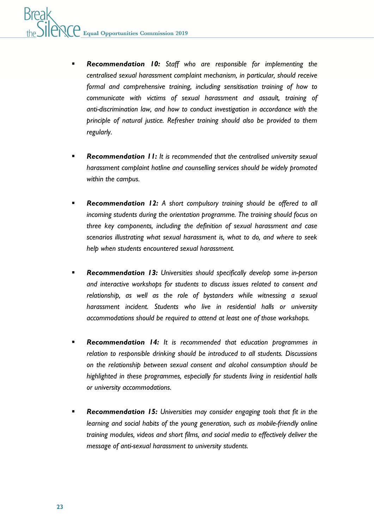- *Recommendation 10: Staff who are responsible for implementing the centralised sexual harassment complaint mechanism, in particular, should receive formal and comprehensive training, including sensitisation training of how to communicate with victims of sexual harassment and assault, training of anti-discrimination law, and how to conduct investigation in accordance with the principle of natural justice. Refresher training should also be provided to them regularly.*
- *Recommendation 11: It is recommended that the centralised university sexual harassment complaint hotline and counselling services should be widely promoted within the campus.*
- **Recommendation 12:** A short compulsory training should be offered to all *incoming students during the orientation programme. The training should focus on three key components, including the definition of sexual harassment and case scenarios illustrating what sexual harassment is, what to do, and where to seek help when students encountered sexual harassment.*
- *Recommendation 13: Universities should specifically develop some in-person and interactive workshops for students to discuss issues related to consent and relationship, as well as the role of bystanders while witnessing a sexual harassment incident. Students who live in residential halls or university accommodations should be required to attend at least one of those workshops.*
- *Recommendation 14: It is recommended that education programmes in relation to responsible drinking should be introduced to all students. Discussions on the relationship between sexual consent and alcohol consumption should be highlighted in these programmes, especially for students living in residential halls or university accommodations.*
- *Recommendation 15: Universities may consider engaging tools that fit in the learning and social habits of the young generation, such as mobile-friendly online training modules, videos and short films, and social media to effectively deliver the message of anti-sexual harassment to university students.*